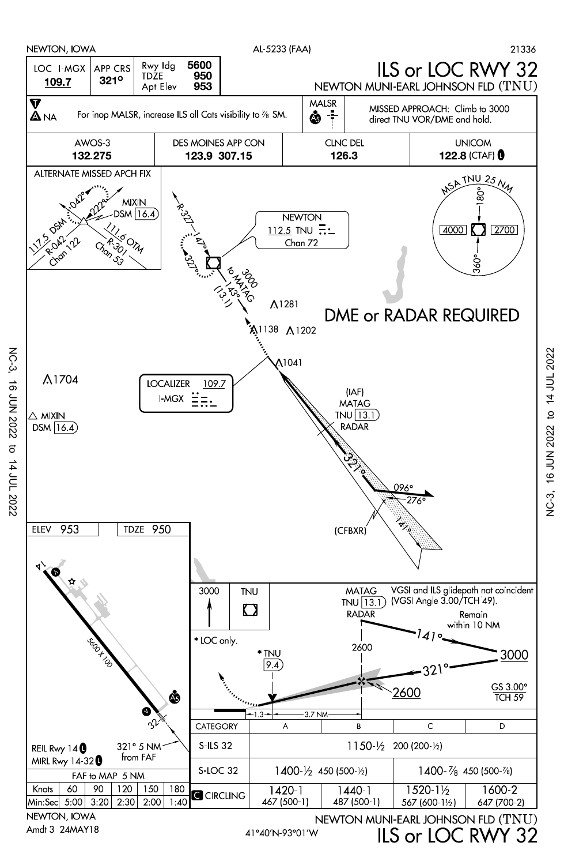

NC-3,

16 JUN 2022

16 JUN 2022 to 14 JUL 2022 ်<br>ပိုင်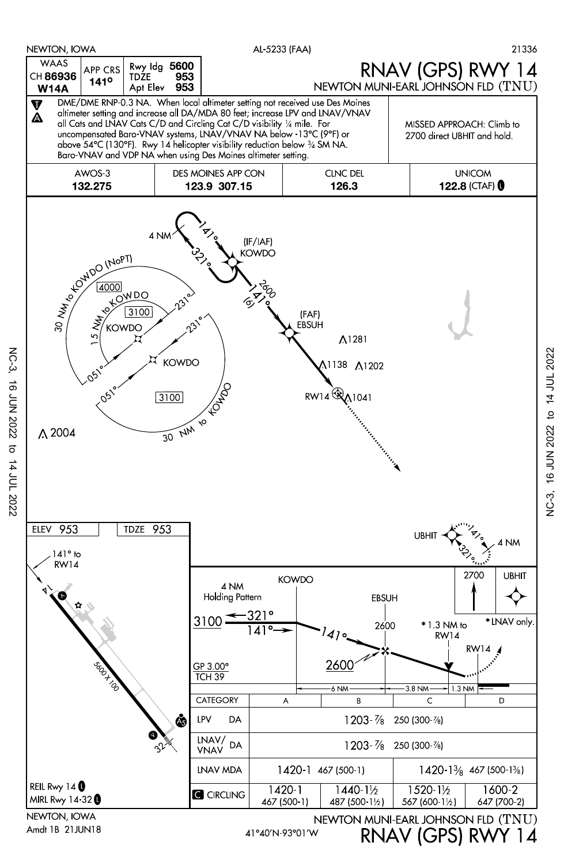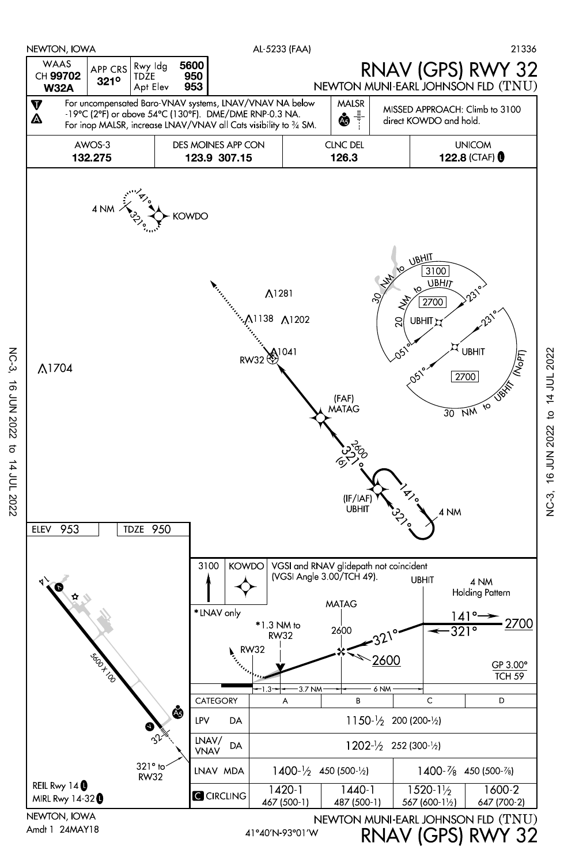

NC-3, 16 JUN 2022 to 14 JUL 2022

16 JUN 2022

NC-3,

JC-3, 16 JUN 2022 to 14 JUL 2022 NC-3, 16 JUN 2022 to 14 JUL 2022